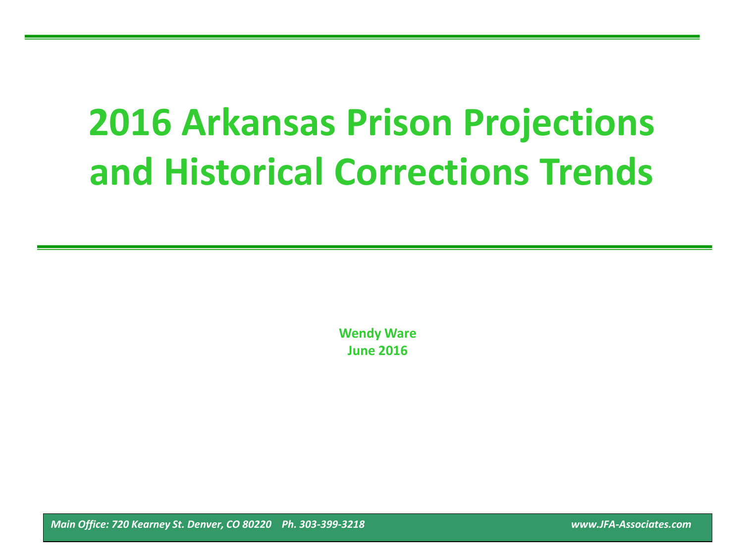# **2016 Arkansas Prison Projections and Historical Corrections Trends**

**Wendy Ware June 2016**

*Main Office: 720 Kearney St. Denver, CO 80220 Ph. 303-399-3218 www.JFA-Associates.com*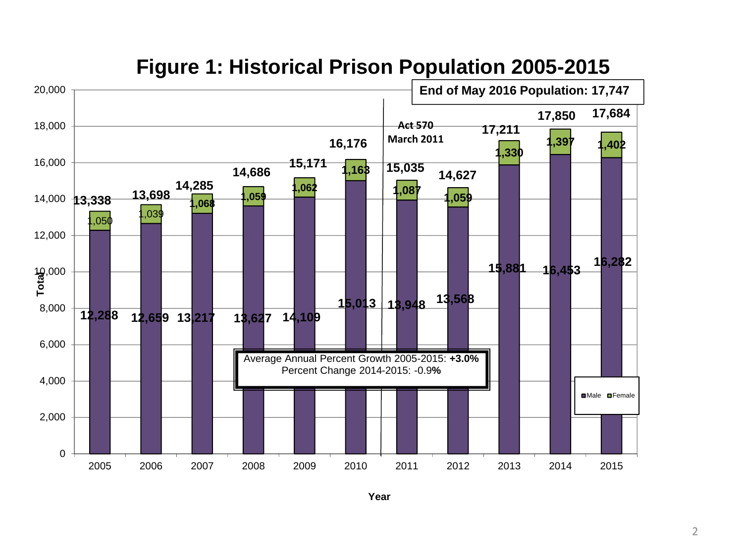

## **Figure 1: Historical Prison Population 2005-2015**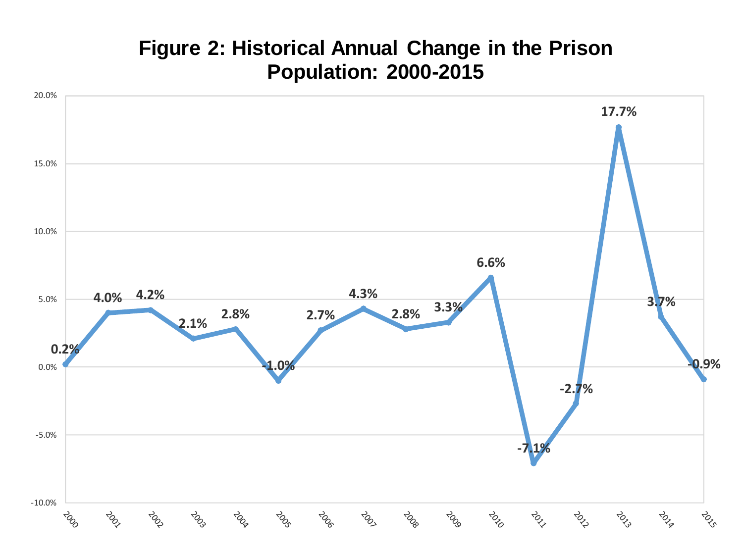# **Figure 2: Historical Annual Change in the Prison Population: 2000-2015**

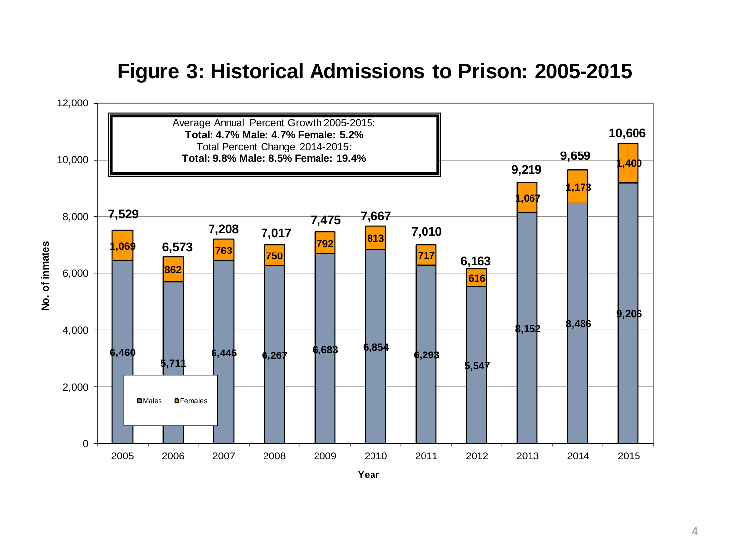# **Figure 3: Historical Admissions to Prison: 2005-2015**

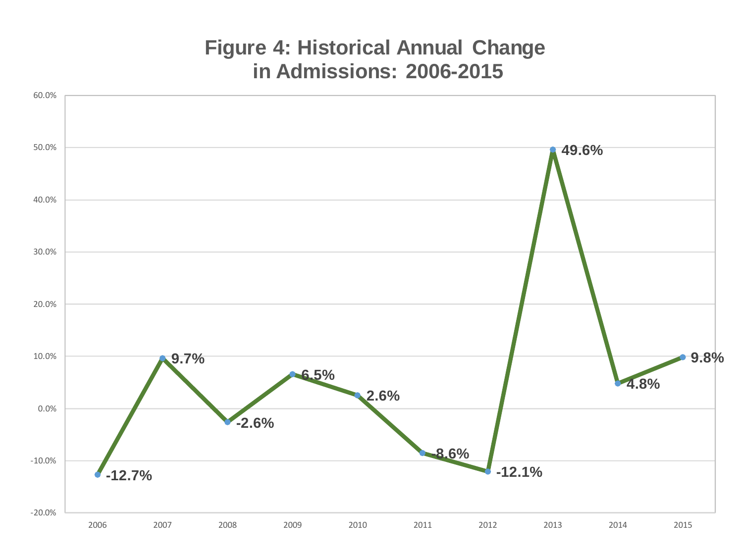# **Figure 4: Historical Annual Change in Admissions: 2006-2015**

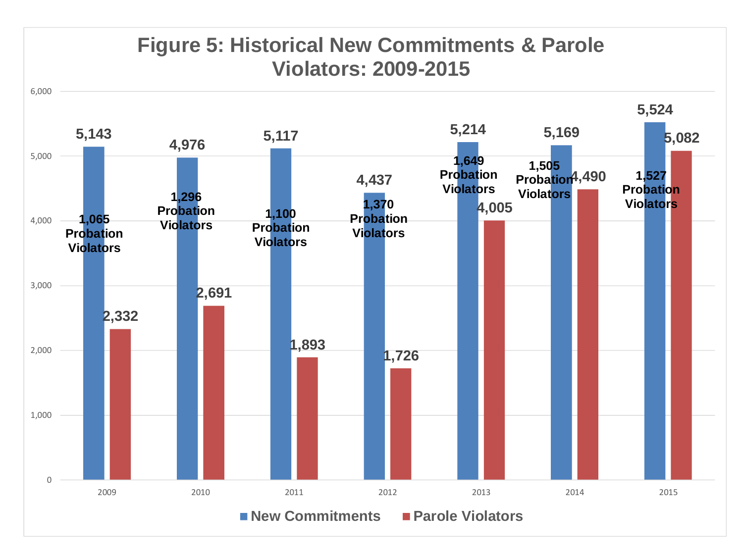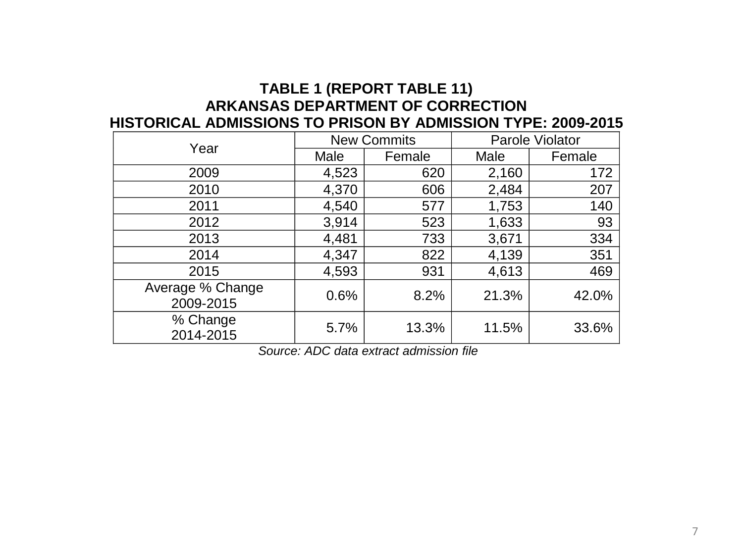### **TABLE 1 (REPORT TABLE 11) ARKANSAS DEPARTMENT OF CORRECTION HISTORICAL ADMISSIONS TO PRISON BY ADMISSION TYPE: 2009-2015**

| Year                          |       | <b>New Commits</b> | Parole Violator |        |  |
|-------------------------------|-------|--------------------|-----------------|--------|--|
|                               | Male  | Female             | Male            | Female |  |
| 2009                          | 4,523 | 620                | 2,160           | 172    |  |
| 2010                          | 4,370 | 606                | 2,484           | 207    |  |
| 2011                          | 4,540 | 577                | 1,753           | 140    |  |
| 2012                          | 3,914 | 523                | 1,633           | 93     |  |
| 2013                          | 4,481 | 733                | 3,671           | 334    |  |
| 2014                          | 4,347 | 822                | 4,139           | 351    |  |
| 2015                          | 4,593 | 931                | 4,613           | 469    |  |
| Average % Change<br>2009-2015 | 0.6%  | 8.2%               | 21.3%           | 42.0%  |  |
| % Change<br>2014-2015         | 5.7%  | 13.3%              | 11.5%           | 33.6%  |  |

*Source: ADC data extract admission file*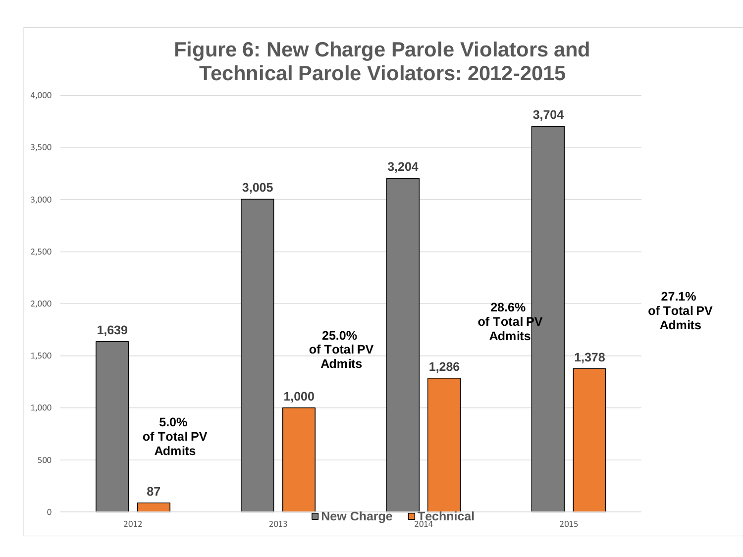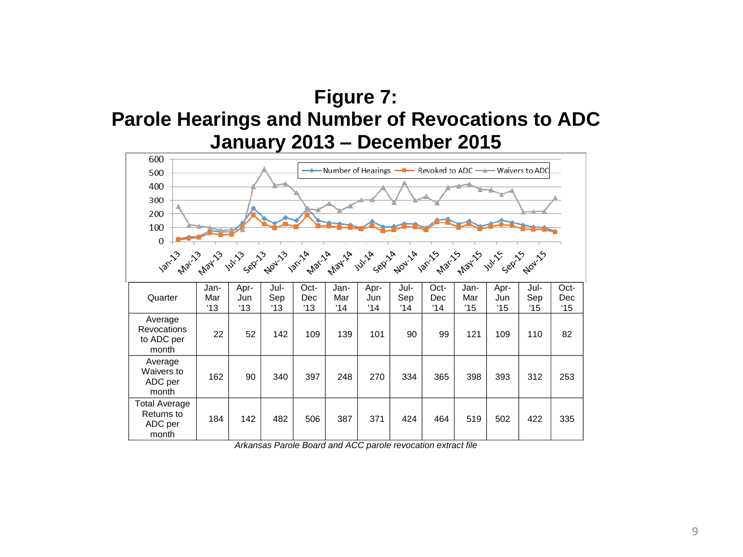# **Figure 7: Parole Hearings and Number of Revocations to ADC January 2013 – December 2015**

| 600                                                               |            |            |            |            |            |            |            |            |            |            |            |            |
|-------------------------------------------------------------------|------------|------------|------------|------------|------------|------------|------------|------------|------------|------------|------------|------------|
| — Number of Hearings —■— Revoked to ADC —▲— Waivers to ADC<br>500 |            |            |            |            |            |            |            |            |            |            |            |            |
| 400                                                               |            |            |            |            |            |            |            |            |            |            |            |            |
| 300                                                               |            |            |            |            |            |            |            |            |            |            |            |            |
| 200                                                               |            |            |            |            |            |            |            |            |            |            |            |            |
| 100                                                               |            |            |            |            |            |            |            |            |            |            |            |            |
| $\boldsymbol{0}$                                                  |            |            |            |            |            |            |            |            |            |            |            |            |
|                                                                   |            |            |            |            |            |            |            |            |            |            |            |            |
|                                                                   | Jan-       | Apr-       | Jul-       | Oct-       | Jan-       | Apr-       | Jul-       | Oct-       | Jan-       | Apr-       | Jul-       | Oct-       |
| Quarter                                                           | Mar<br>'13 | Jun<br>'13 | Sep<br>'13 | Dec<br>'13 | Mar<br>'14 | Jun<br>'14 | Sep<br>'14 | Dec<br>'14 | Mar<br>'15 | Jun<br>'15 | Sep<br>'15 | Dec<br>'15 |
| Average<br><b>Revocations</b><br>to ADC per<br>month              | 22         | 52         | 142        | 109        | 139        | 101        | 90         | 99         | 121        | 109        | 110        | 82         |
| Average<br>Waivers to<br>ADC per<br>month                         | 162        | 90         | 340        | 397        | 248        | 270        | 334        | 365        | 398        | 393        | 312        | 253        |
| <b>Total Average</b><br>Returns to<br>ADC per<br>month            | 184        | 142        | 482        | 506        | 387        | 371        | 424        | 464        | 519        | 502        | 422        | 335        |

*Arkansas Parole Board and ACC parole revocation extract file*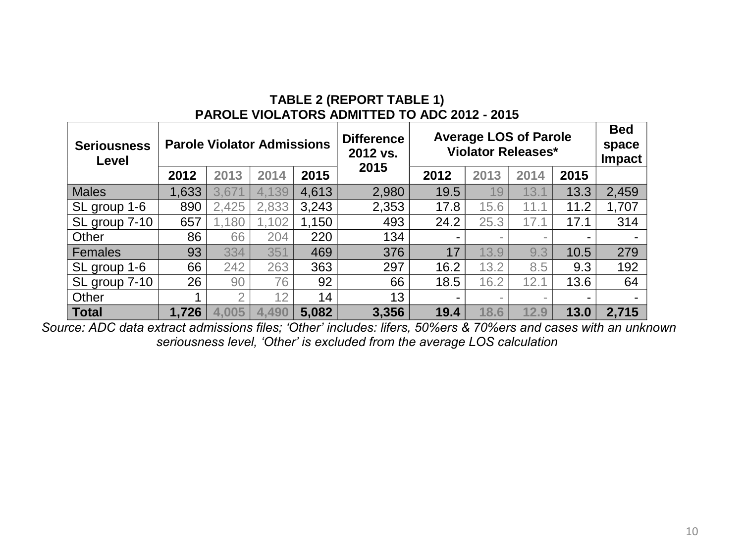#### **TABLE 2 (REPORT TABLE 1) PAROLE VIOLATORS ADMITTED TO ADC 2012 - 2015**

| <b>Seriousness</b><br>Level | <b>Parole Violator Admissions</b> |       |       | <b>Average LOS of Parole</b><br><b>Difference</b><br><b>Violator Releases*</b><br>2012 vs. |       |                |                          | <b>Bed</b><br>space<br><b>Impact</b> |                          |       |
|-----------------------------|-----------------------------------|-------|-------|--------------------------------------------------------------------------------------------|-------|----------------|--------------------------|--------------------------------------|--------------------------|-------|
|                             | 2012                              | 2013  | 2014  | 2015                                                                                       | 2015  | 2012           | 2013                     | 2014                                 | 2015                     |       |
| <b>Males</b>                | 1,633                             | 3,671 | 4,139 | 4,613                                                                                      | 2,980 | 19.5           | 19                       | 13.1                                 | 13.3                     | 2,459 |
| SL group 1-6                | 890                               | 2,425 | 2,833 | 3,243                                                                                      | 2,353 | 17.8           | 15.6                     | 11.1                                 | 11.2                     | 1,707 |
| SL group 7-10               | 657                               | 1,180 | 02    | 1,150                                                                                      | 493   | 24.2           | 25.3                     | 17.7                                 | 17.1                     | 314   |
| Other                       | 86                                | 66    | 204   | 220                                                                                        | 134   | $\blacksquare$ | -                        |                                      |                          |       |
| Females                     | 93                                | 334   | 351   | 469                                                                                        | 376   | 17             | 13.9                     | 9.3                                  | 10.5                     | 279   |
| SL group 1-6                | 66                                | 242   | 263   | 363                                                                                        | 297   | 16.2           | 13.2                     | 8.5                                  | 9.3                      | 192   |
| SL group 7-10               | 26                                | 90    | 76    | 92                                                                                         | 66    | 18.5           | 16.2                     | 12.1                                 | 13.6                     | 64    |
| Other                       |                                   | ⌒     | 12    | 14                                                                                         | 13    | -              | $\overline{\phantom{a}}$ | $\overline{\phantom{a}}$             | $\overline{\phantom{0}}$ | -     |
| <b>Total</b>                | 1,726                             | 4,005 | 4,490 | 5,082                                                                                      | 3,356 | 19.4           | 18.6                     | 12.9                                 | 13.0                     | 2,715 |

*Source: ADC data extract admissions files; 'Other' includes: lifers, 50%ers & 70%ers and cases with an unknown seriousness level, 'Other' is excluded from the average LOS calculation*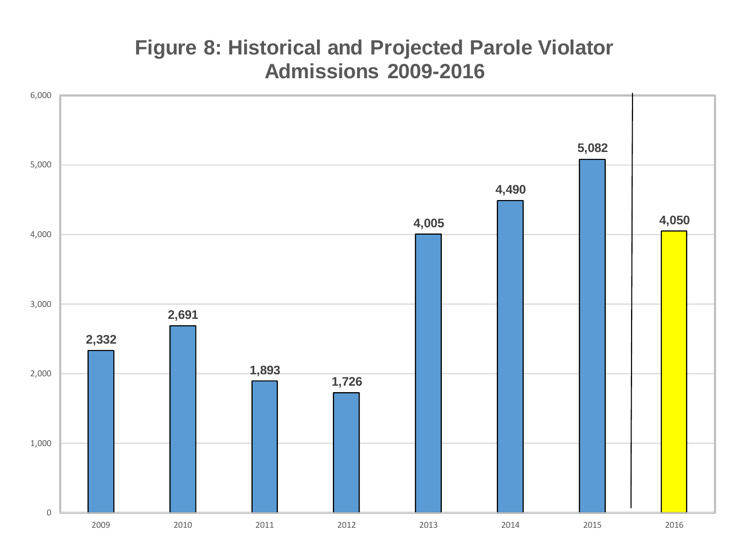# **Figure 8: Historical and Projected Parole Violator Admissions 2009-2016**

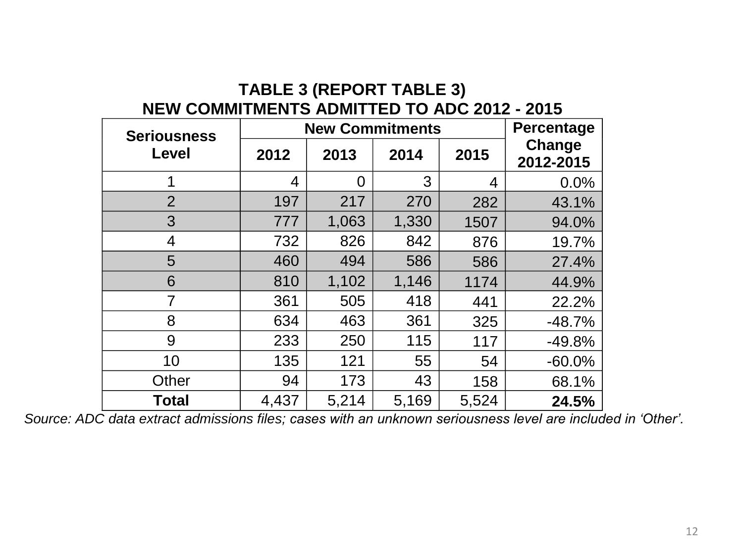## **TABLE 3 (REPORT TABLE 3) NEW COMMITMENTS ADMITTED TO ADC 2012 - 2015**

| <b>Seriousness</b> |       | <b>New Commitments</b> |       |       |                     |  |
|--------------------|-------|------------------------|-------|-------|---------------------|--|
| Level              | 2012  | 2013                   | 2014  | 2015  | Change<br>2012-2015 |  |
|                    | 4     | 0                      | 3     | 4     | 0.0%                |  |
| $\overline{2}$     | 197   | 217                    | 270   | 282   | 43.1%               |  |
| 3                  | 777   | 1,063                  | 1,330 | 1507  | 94.0%               |  |
| $\overline{4}$     | 732   | 826                    | 842   | 876   | 19.7%               |  |
| 5                  | 460   | 494                    | 586   | 586   | 27.4%               |  |
| 6                  | 810   | 1,102                  | 1,146 | 1174  | 44.9%               |  |
| 7                  | 361   | 505                    | 418   | 441   | 22.2%               |  |
| 8                  | 634   | 463                    | 361   | 325   | $-48.7%$            |  |
| 9                  | 233   | 250                    | 115   | 117   | $-49.8%$            |  |
| 10                 | 135   | 121                    | 55    | 54    | $-60.0%$            |  |
| Other              | 94    | 173                    | 43    | 158   | 68.1%               |  |
| <b>Total</b>       | 4,437 | 5,214                  | 5,169 | 5,524 | 24.5%               |  |

*Source: ADC data extract admissions files; cases with an unknown seriousness level are included in 'Other'.*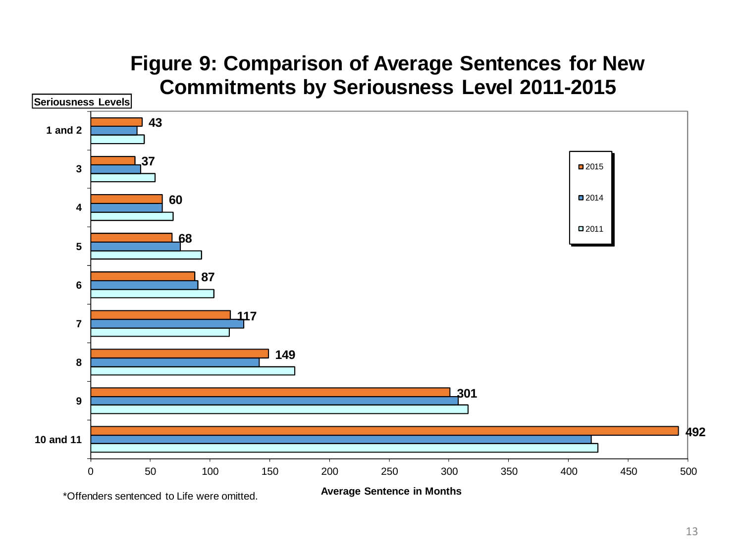### 50 100 150 200 250 300 350 400 450 500 **10 and 11 1 and 2 Average Sentence in Months Commitments by Seriousness Level 2011-2015** ■2015 ■2014 ■2011 **Seriousness Levels** \*Offenders sentenced to Life were omitted.

# **Figure 9: Comparison of Average Sentences for New**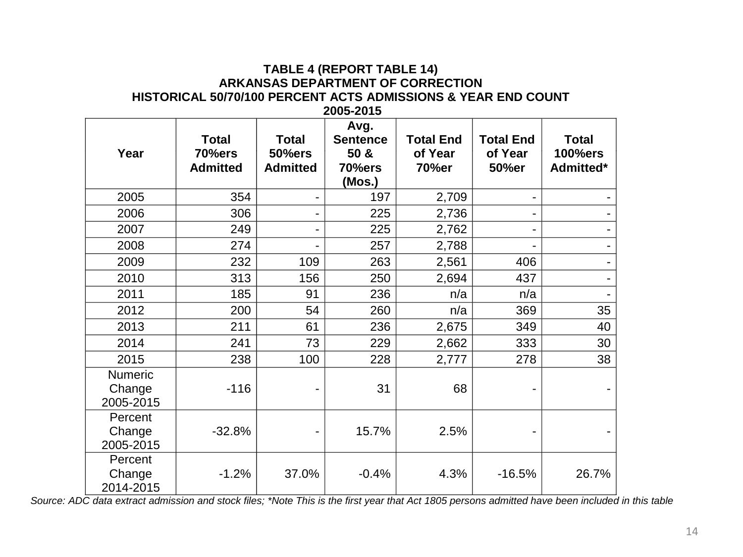#### **TABLE 4 (REPORT TABLE 14) ARKANSAS DEPARTMENT OF CORRECTION HISTORICAL 50/70/100 PERCENT ACTS ADMISSIONS & YEAR END COUNT 2005-2015**

| Year                           | <b>Total</b><br>70%ers<br><b>Admitted</b> | <b>Total</b><br><b>50%ers</b><br><b>Admitted</b> | Avg.<br><b>Sentence</b><br>50 &<br>70%ers<br>(Mos.) | <b>Total End</b><br>of Year<br>70%er | <b>Total End</b><br>of Year<br>50%er | <b>Total</b><br><b>100%ers</b><br>Admitted* |
|--------------------------------|-------------------------------------------|--------------------------------------------------|-----------------------------------------------------|--------------------------------------|--------------------------------------|---------------------------------------------|
| 2005                           | 354                                       |                                                  | 197                                                 | 2,709                                |                                      |                                             |
| 2006                           | 306                                       |                                                  | 225                                                 | 2,736                                |                                      |                                             |
| 2007                           | 249                                       | $\overline{\phantom{0}}$                         | 225                                                 | 2,762                                |                                      |                                             |
| 2008                           | 274                                       |                                                  | 257                                                 | 2,788                                |                                      |                                             |
| 2009                           | 232                                       | 109                                              | 263                                                 | 2,561                                | 406                                  |                                             |
| 2010                           | 313                                       | 156                                              | 250                                                 | 2,694                                | 437                                  |                                             |
| 2011                           | 185                                       | 91                                               | 236                                                 | n/a                                  | n/a                                  |                                             |
| 2012                           | 200                                       | 54                                               | 260                                                 | n/a                                  | 369                                  | 35                                          |
| 2013                           | 211                                       | 61                                               | 236                                                 | 2,675                                | 349                                  | 40                                          |
| 2014                           | 241                                       | 73                                               | 229                                                 | 2,662                                | 333                                  | 30                                          |
| 2015                           | 238                                       | 100                                              | 228                                                 | 2,777                                | 278                                  | 38                                          |
| Numeric<br>Change<br>2005-2015 | $-116$                                    |                                                  | 31                                                  | 68                                   |                                      |                                             |
| Percent<br>Change<br>2005-2015 | $-32.8%$                                  |                                                  | 15.7%                                               | 2.5%                                 |                                      |                                             |
| Percent<br>Change<br>2014-2015 | $-1.2%$                                   | 37.0%                                            | $-0.4%$                                             | 4.3%                                 | $-16.5%$                             | 26.7%                                       |

*Source: ADC data extract admission and stock files; \*Note This is the first year that Act 1805 persons admitted have been included in this table*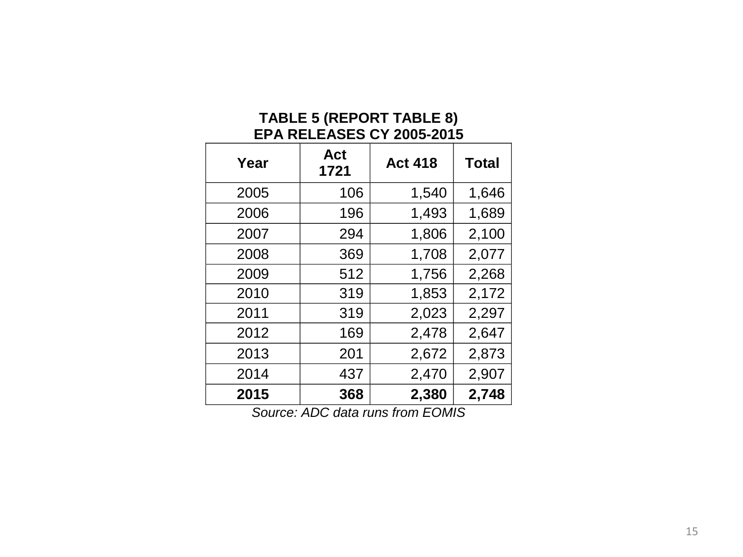#### **TABLE 5 (REPORT TABLE 8) EPA RELEASES CY 2005-2015**

| Year | Act<br>1721 | <b>Act 418</b> | <b>Total</b> |
|------|-------------|----------------|--------------|
| 2005 | 106         | 1,540          | 1,646        |
| 2006 | 196         | 1,493          | 1,689        |
| 2007 | 294         | 1,806          | 2,100        |
| 2008 | 369         | 1,708          | 2,077        |
| 2009 | 512         | 1,756          | 2,268        |
| 2010 | 319         | 1,853          | 2,172        |
| 2011 | 319         | 2,023          | 2,297        |
| 2012 | 169         | 2,478          | 2,647        |
| 2013 | 201         | 2,672          | 2,873        |
| 2014 | 437         | 2,470          | 2,907        |
| 2015 | 368         | 2,380          | 2,748        |

*Source: ADC data runs from EOMIS*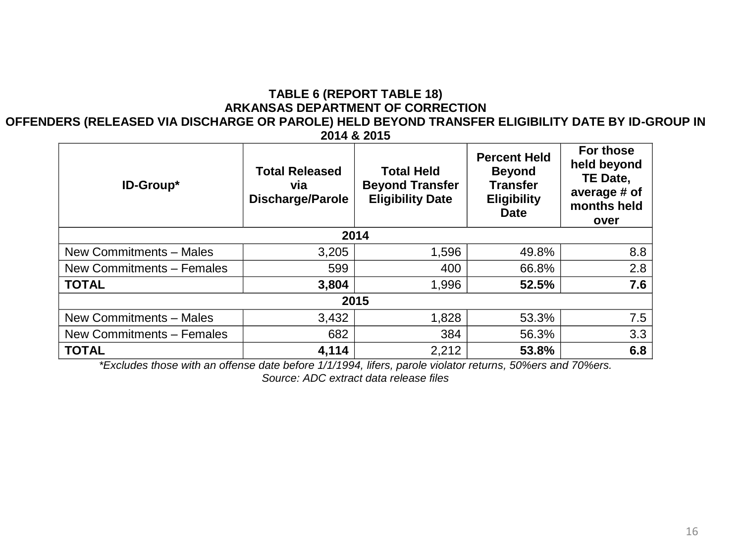### **TABLE 6 (REPORT TABLE 18) ARKANSAS DEPARTMENT OF CORRECTION**

#### **OFFENDERS (RELEASED VIA DISCHARGE OR PAROLE) HELD BEYOND TRANSFER ELIGIBILITY DATE BY ID-GROUP IN 2014 & 2015**

| ID-Group*                 | <b>Total Released</b><br>via<br><b>Discharge/Parole</b> | <b>Total Held</b><br><b>Beyond Transfer</b><br><b>Eligibility Date</b> | <b>Percent Held</b><br><b>Beyond</b><br><b>Transfer</b><br><b>Eligibility</b><br><b>Date</b> | For those<br>held beyond<br>TE Date,<br>average # of<br>months held<br>over |  |  |  |
|---------------------------|---------------------------------------------------------|------------------------------------------------------------------------|----------------------------------------------------------------------------------------------|-----------------------------------------------------------------------------|--|--|--|
|                           |                                                         | 2014                                                                   |                                                                                              |                                                                             |  |  |  |
| New Commitments - Males   | 3,205                                                   | 1,596                                                                  | 49.8%                                                                                        | 8.8                                                                         |  |  |  |
| New Commitments - Females | 599                                                     | 400                                                                    | 66.8%                                                                                        | 2.8                                                                         |  |  |  |
| <b>TOTAL</b>              | 3,804                                                   | 1,996                                                                  | 52.5%                                                                                        | 7.6                                                                         |  |  |  |
| 2015                      |                                                         |                                                                        |                                                                                              |                                                                             |  |  |  |
| New Commitments - Males   | 3,432                                                   | 1,828                                                                  | 53.3%                                                                                        | 7.5                                                                         |  |  |  |
| New Commitments - Females | 682                                                     | 384                                                                    | 56.3%                                                                                        | 3.3                                                                         |  |  |  |
| <b>TOTAL</b>              | 4,114                                                   | 2,212                                                                  | 53.8%                                                                                        | 6.8                                                                         |  |  |  |

*\*Excludes those with an offense date before 1/1/1994, lifers, parole violator returns, 50%ers and 70%ers.*

*Source: ADC extract data release files*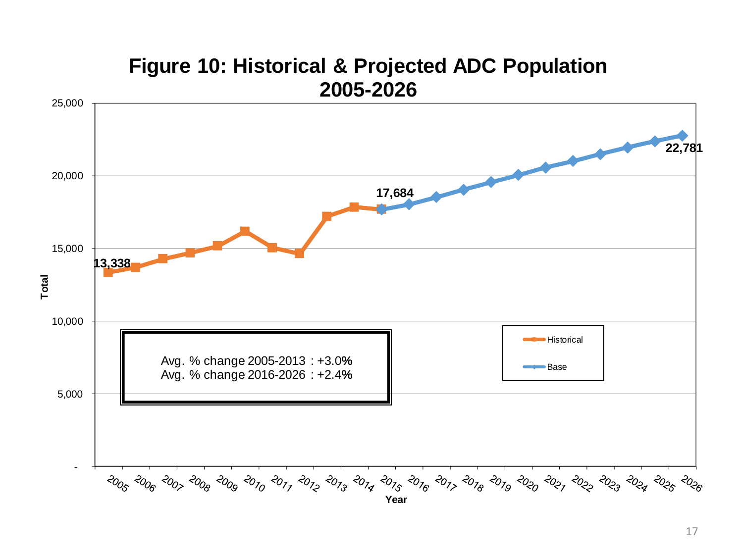

# **Figure 10: Historical & Projected ADC Population**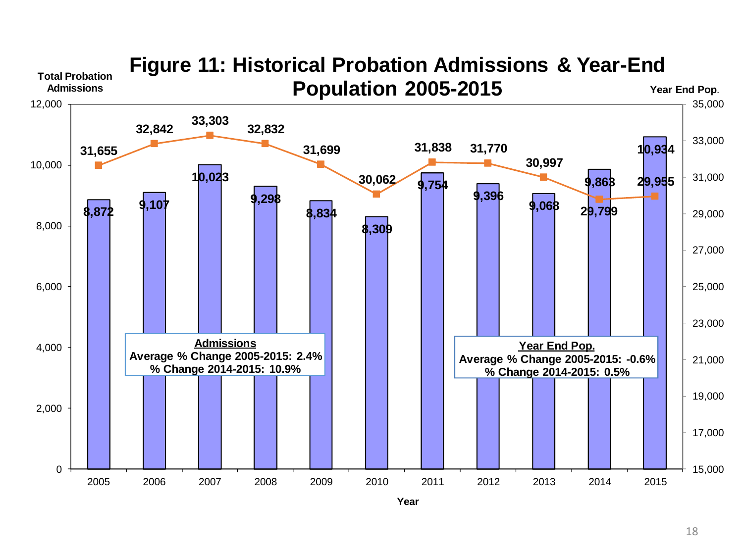

# **Figure 11: Historical Probation Admissions & Year-End**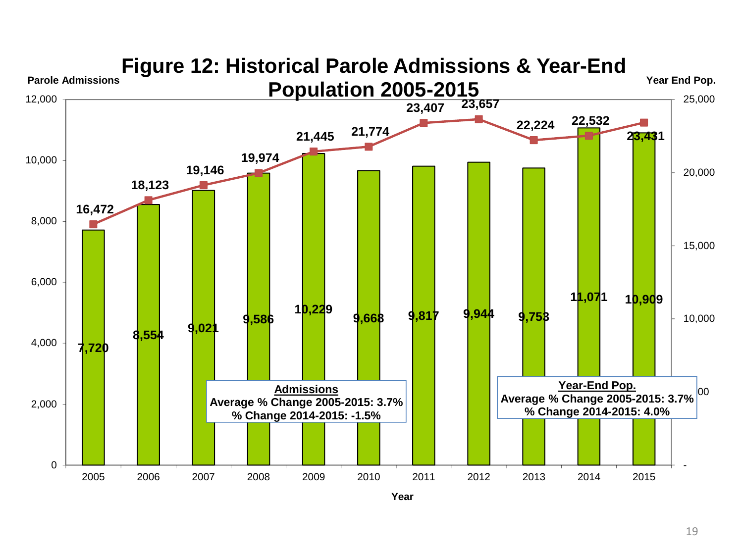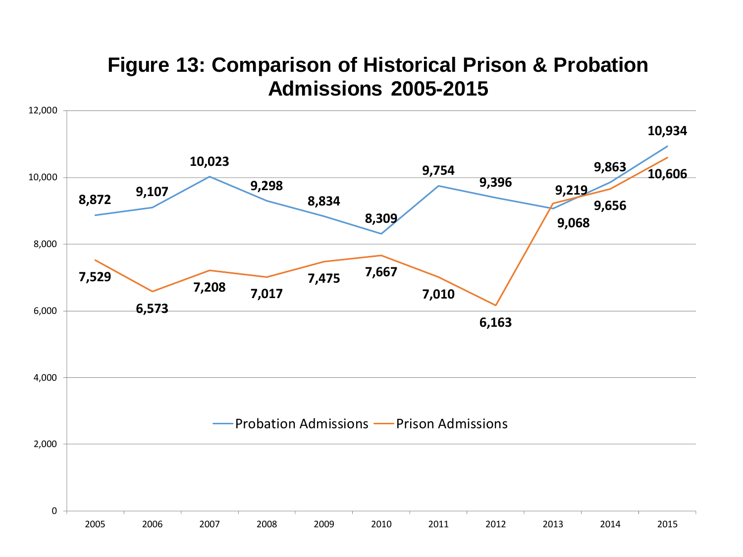## **Figure 13: Comparison of Historical Prison & Probation Admissions 2005-2015**

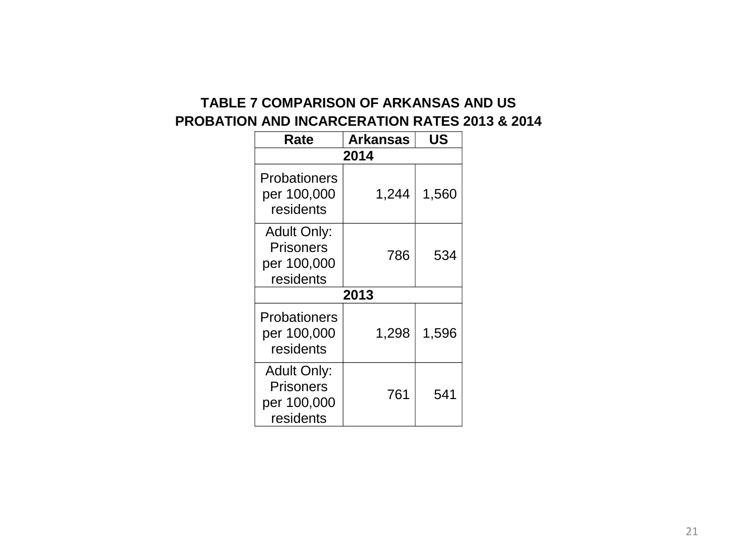## **TABLE 7 COMPARISON OF ARKANSAS AND US PROBATION AND INCARCERATION RATES 2013 & 2014**

| Rate                                                        | <b>Arkansas</b> | US    |  |  |  |  |
|-------------------------------------------------------------|-----------------|-------|--|--|--|--|
| 2014                                                        |                 |       |  |  |  |  |
| Probationers<br>per 100,000<br>residents                    | 1,244           | 1,560 |  |  |  |  |
| <b>Adult Only:</b><br>Prisoners<br>per 100,000<br>residents | 786             | 534   |  |  |  |  |
|                                                             | 2013            |       |  |  |  |  |
| Probationers<br>per 100,000<br>residents                    | 1,298           | 1,596 |  |  |  |  |
| <b>Adult Only:</b><br>Prisoners<br>per 100,000<br>residents | 761             | 541   |  |  |  |  |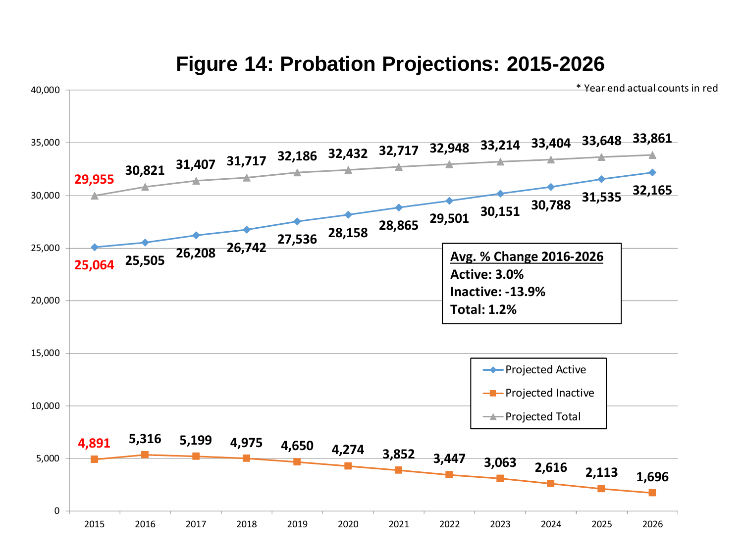

## **Figure 14: Probation Projections: 2015-2026**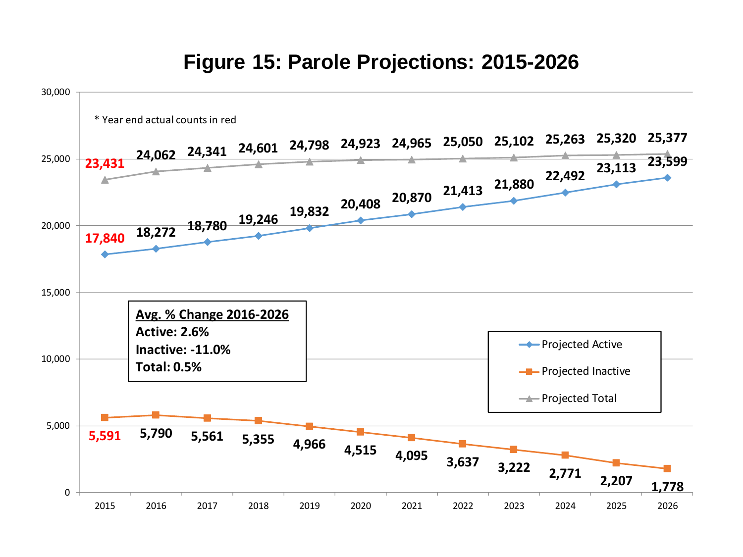## **Figure 15: Parole Projections: 2015-2026**